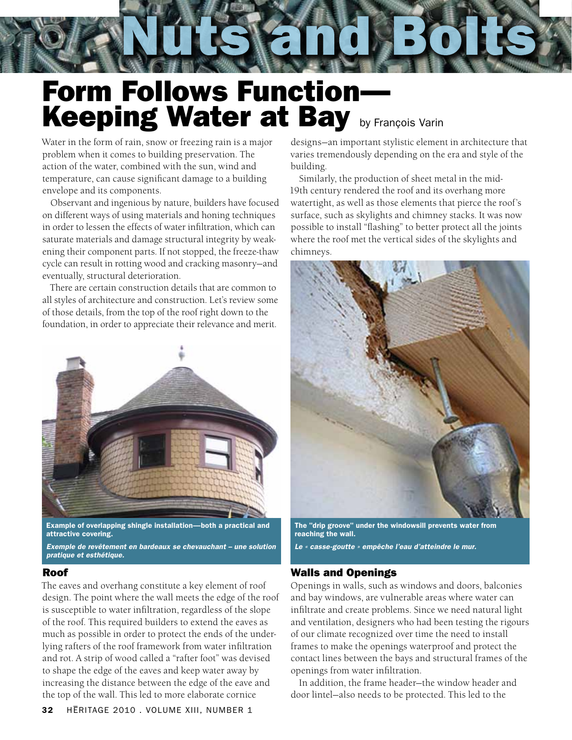# $\ddot{\phantom{a}}$ Form Follows Function— Keeping Water at Bay by François Varin

Water in the form of rain, snow or freezing rain is a major problem when it comes to building preservation. The action of the water, combined with the sun, wind and temperature, can cause significant damage to a building envelope and its components.

Observant and ingenious by nature, builders have focused on different ways of using materials and honing techniques in order to lessen the effects of water infiltration, which can saturate materials and damage structural integrity by weakening their component parts. If not stopped, the freeze-thaw cycle can result in rotting wood and cracking masonry—and eventually, structural deterioration.

There are certain construction details that are common to all styles of architecture and construction. Let's review some of those details, from the top of the roof right down to the foundation, in order to appreciate their relevance and merit.



Example of overlapping shingle installation—both a practical and attractive covering.

*Exemple de revêtement en bardeaux se chevauchant – une solution pratique et esthétique.*

#### Roof

The eaves and overhang constitute a key element of roof design. The point where the wall meets the edge of the roof is susceptible to water infiltration, regardless of the slope of the roof. This required builders to extend the eaves as much as possible in order to protect the ends of the underlying rafters of the roof framework from water infiltration and rot. A strip of wood called a "rafter foot" was devised to shape the edge of the eaves and keep water away by increasing the distance between the edge of the eave and the top of the wall. This led to more elaborate cornice

designs—an important stylistic element in architecture that varies tremendously depending on the era and style of the building.

Similarly, the production of sheet metal in the mid-19th century rendered the roof and its overhang more watertight, as well as those elements that pierce the roof's surface, such as skylights and chimney stacks. It was now possible to install "flashing" to better protect all the joints where the roof met the vertical sides of the skylights and chimneys.



The "drip groove" under the windowsill prevents water from reaching the wall.

*Le « casse-goutte » empêche l'eau d'atteindre le mur.* 

### Walls and Openings

Openings in walls, such as windows and doors, balconies and bay windows, are vulnerable areas where water can infiltrate and create problems. Since we need natural light and ventilation, designers who had been testing the rigours of our climate recognized over time the need to install frames to make the openings waterproof and protect the contact lines between the bays and structural frames of the openings from water infiltration.

In addition, the frame header—the window header and door lintel—also needs to be protected. This led to the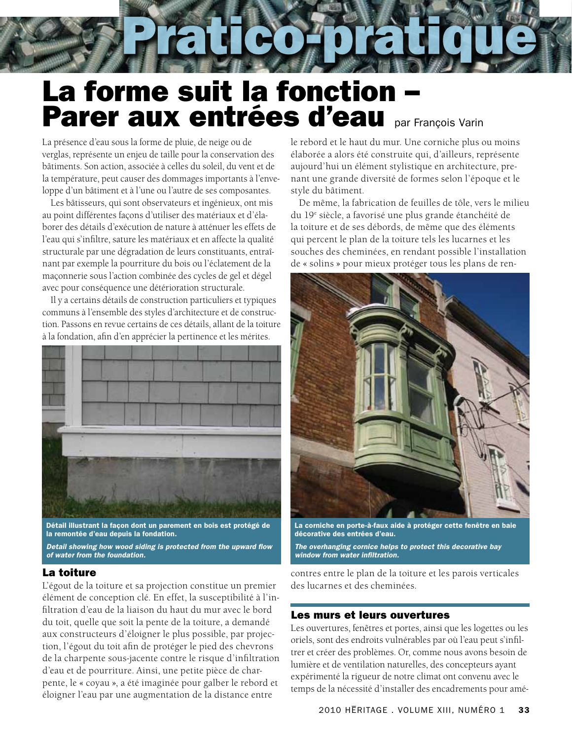## La forme suit la fonction – Parer aux entrées d'eau par François Varin

La présence d'eau sous la forme de pluie, de neige ou de verglas, représente un enjeu de taille pour la conservation des bâtiments. Son action, associée à celles du soleil, du vent et de la température, peut causer des dommages importants à l'enveloppe d'un bâtiment et à l'une ou l'autre de ses composantes.

Les bâtisseurs, qui sont observateurs et ingénieux, ont mis au point différentes façons d'utiliser des matériaux et d'élaborer des détails d'exécution de nature à atténuer les effets de l'eau qui s'infiltre, sature les matériaux et en affecte la qualité structurale par une dégradation de leurs constituants, entraînant par exemple la pourriture du bois ou l'éclatement de la maçonnerie sous l'action combinée des cycles de gel et dégel avec pour conséquence une détérioration structurale.

Il y a certains détails de construction particuliers et typiques communs à l'ensemble des styles d'architecture et de construction. Passons en revue certains de ces détails, allant de la toiture à la fondation, afin d'en apprécier la pertinence et les mérites.



Détail illustrant la façon dont un parement en bois est protégé de la remontée d'eau depuis la fondation.

*Detail showing how wood siding is protected from the upward flow of water from the foundation.*

### La toiture

L'égout de la toiture et sa projection constitue un premier élément de conception clé. En effet, la susceptibilité à l'infiltration d'eau de la liaison du haut du mur avec le bord du toit, quelle que soit la pente de la toiture, a demandé aux constructeurs d'éloigner le plus possible, par projection, l'égout du toit afin de protéger le pied des chevrons de la charpente sous-jacente contre le risque d'infiltration d'eau et de pourriture. Ainsi, une petite pièce de charpente, le « coyau », a été imaginée pour galber le rebord et éloigner l'eau par une augmentation de la distance entre

le rebord et le haut du mur. Une corniche plus ou moins élaborée a alors été construite qui, d'ailleurs, représente aujourd'hui un élément stylistique en architecture, prenant une grande diversité de formes selon l'époque et le style du bâtiment.

De même, la fabrication de feuilles de tôle, vers le milieu du 19e siècle, a favorisé une plus grande étanchéité de la toiture et de ses débords, de même que des éléments qui percent le plan de la toiture tels les lucarnes et les souches des cheminées, en rendant possible l'installation de « solins » pour mieux protéger tous les plans de ren-



La corniche en porte-à-faux aide à protéger cette fenêtre en baie décorative des entrées d'eau.

*The overhanging cornice helps to protect this decorative bay window from water infiltration.*

contres entre le plan de la toiture et les parois verticales des lucarnes et des cheminées.

### Les murs et leurs ouvertures

Les ouvertures, fenêtres et portes, ainsi que les logettes ou les oriels, sont des endroits vulnérables par où l'eau peut s'infiltrer et créer des problèmes. Or, comme nous avons besoin de lumière et de ventilation naturelles, des concepteurs ayant expérimenté la rigueur de notre climat ont convenu avec le temps de la nécessité d'installer des encadrements pour amé-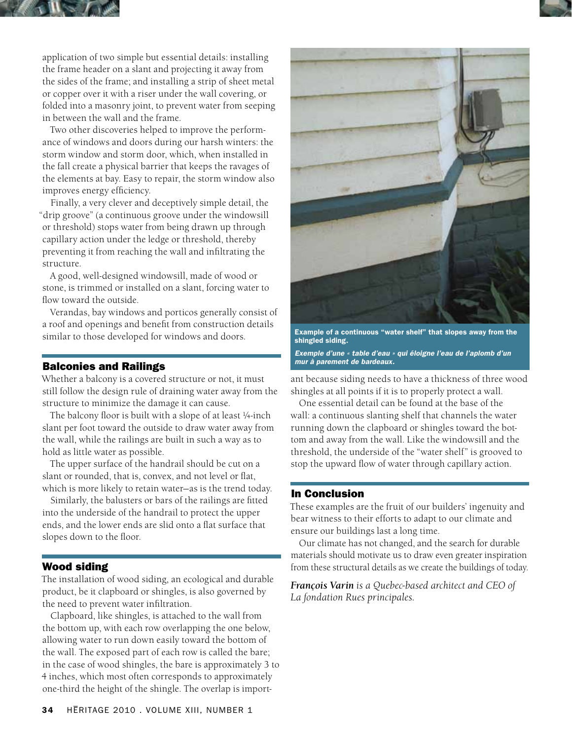

Two other discoveries helped to improve the performance of windows and doors during our harsh winters: the storm window and storm door, which, when installed in the fall create a physical barrier that keeps the ravages of the elements at bay. Easy to repair, the storm window also improves energy efficiency.

Finally, a very clever and deceptively simple detail, the "drip groove" (a continuous groove under the windowsill or threshold) stops water from being drawn up through capillary action under the ledge or threshold, thereby preventing it from reaching the wall and infiltrating the structure.

A good, well-designed windowsill, made of wood or stone, is trimmed or installed on a slant, forcing water to flow toward the outside.

Verandas, bay windows and porticos generally consist of a roof and openings and benefit from construction details similar to those developed for windows and doors.

#### Balconies and Railings

Whether a balcony is a covered structure or not, it must still follow the design rule of draining water away from the structure to minimize the damage it can cause.

The balcony floor is built with a slope of at least 1/4-inch slant per foot toward the outside to draw water away from the wall, while the railings are built in such a way as to hold as little water as possible.

The upper surface of the handrail should be cut on a slant or rounded, that is, convex, and not level or flat, which is more likely to retain water—as is the trend today.

Similarly, the balusters or bars of the railings are fitted into the underside of the handrail to protect the upper ends, and the lower ends are slid onto a flat surface that slopes down to the floor.

#### Wood siding

The installation of wood siding, an ecological and durable product, be it clapboard or shingles, is also governed by the need to prevent water infiltration.

Clapboard, like shingles, is attached to the wall from the bottom up, with each row overlapping the one below, allowing water to run down easily toward the bottom of the wall. The exposed part of each row is called the bare; in the case of wood shingles, the bare is approximately 3 to 4 inches, which most often corresponds to approximately one-third the height of the shingle. The overlap is import-



Example of a continuous "water shelf" that slopes away from the shingled siding.

*Exemple d'une « table d'eau » qui éloigne l'eau de l'aplomb d'un mur à parement de bardeaux.*

ant because siding needs to have a thickness of three wood shingles at all points if it is to properly protect a wall.

One essential detail can be found at the base of the wall: a continuous slanting shelf that channels the water running down the clapboard or shingles toward the bottom and away from the wall. Like the windowsill and the threshold, the underside of the "water shelf" is grooved to stop the upward flow of water through capillary action.

#### In Conclusion

These examples are the fruit of our builders' ingenuity and bear witness to their efforts to adapt to our climate and ensure our buildings last a long time.

Our climate has not changed, and the search for durable materials should motivate us to draw even greater inspiration from these structural details as we create the buildings of today.

*François Varin is a Quebec-based architect and CEO of La fondation Rues principales.*